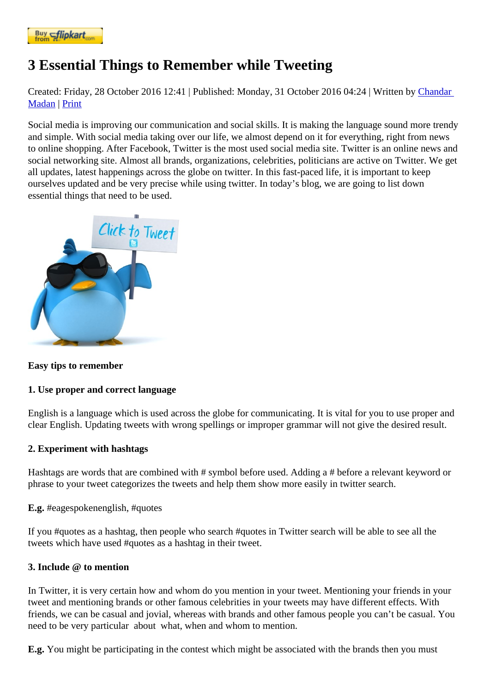## [3 Essential](https://www.flipkart.com/spoken-english-3rd/p/itmezunpyjy5xcc7?pid=9789339221461&affid=kaminiraw) Things to Remember while Tweeting

Created: Friday, 28 October 2016 12| Published: Monday, 31 October 2016 04| 20 Aritten by Chandar **Madan** Print

Social media is improving our communication and social skills. It is making the language sound more trendy and simple. With social media taking over our life, we almost depend on it for everything, [right from](https://english.eagetutor.com/contact) news [to onlin](https://english.eagetutor.com/contact)e shopping. After Facebook, Twitter is the most used social media site. Twitter is an online news and social networking site. Almost all brands, organizations, celebrities, politicians are active on Twitter. We get all updates, latest happenings across the globe on twitter. In this fast-paced life, it is important to keep ourselves updated and be very precise while using twitter. In today's blog, we are going to list down essential things that need to be used.

[Easy tips to remember](http://www.eagetutor.com/)

1. Use proper and correct language

English is a language which is used across the globe for communicating. It is vital for you to use proper and clear English. Updating tweets with wrong spellings or improper grammar will not give the desired result.

## 2. Experiment with hashtags

Hashtags are words that are combined with # symbol before used. Adding a # before a relevant keyword or phrase to your tweet categorizes the tweets and help them show more easily in twitter search.

E.g. #eagespokenenglish, #quotes

If you #quotes as a hashtag, then people who search #quotes in Twitter search will be able to see all the tweets which have used #quotes as a hashtag in their tweet.

## 3. Include @ to mention

In Twitter, it is very certain how and whom do you mention in your tweet. Mentioning your friends in your tweet and mentioning brands or other famous celebrities in your tweets may have different effects. With friends, we can be casual and jovial, whereas with brands and other famous people you can't be casual. You need to be very particular about what, when and whom to mention.

E.g. You might be participating in the contest which might be associated with the brands then you must